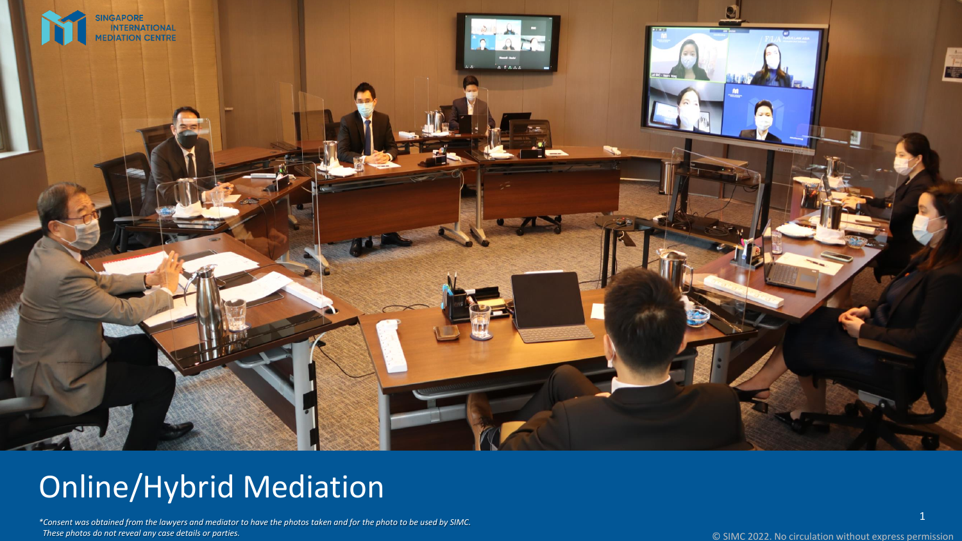

## Online/Hybrid Mediation

\*Consent was obtained from the lawyers and mediator to have the photos taken and for the photo to be used by SIMC. *These photos do not reveal any case details or parties .*

1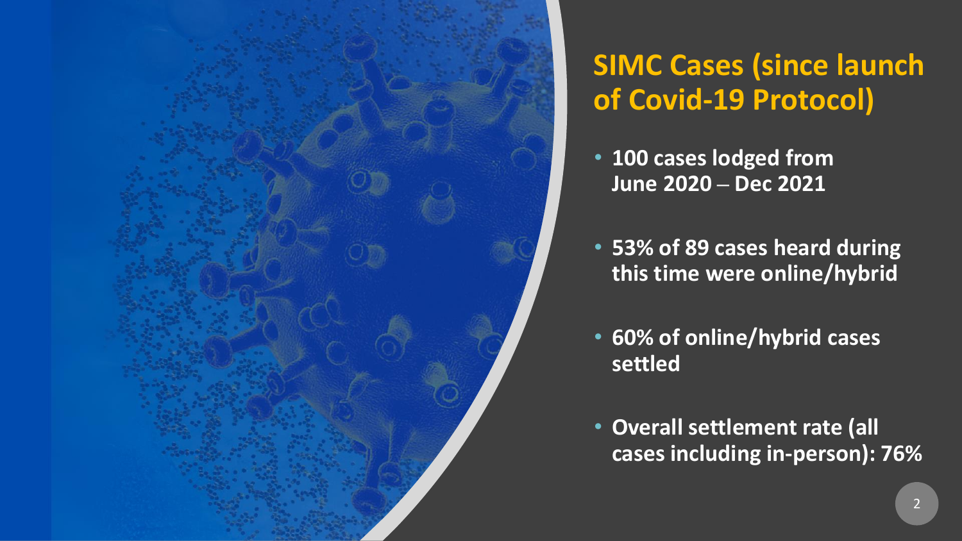

### **SIMC Cases (since launch of Covid-19 Protocol)**

- **100 cases lodged from June 2020 ‒ Dec 2021**
- **53% of 89 cases heard during this time were online/hybrid**
- **60% of online/hybrid cases settled**
- **Overall settlement rate (all cases including in-person): 76%**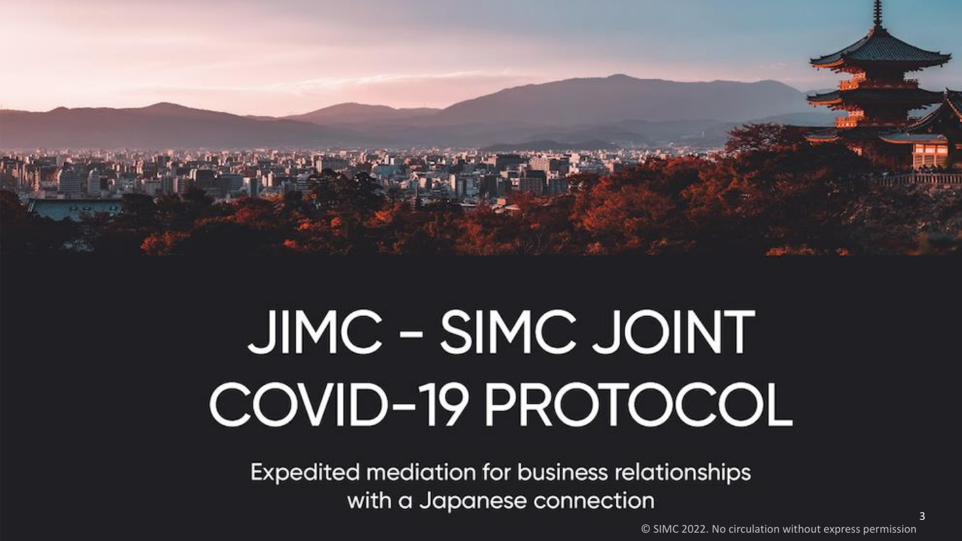

# JIMC - SIMC JOINT COVID-19 PROTOCOL

**Expedited mediation for business relationships** with a Japanese connection

3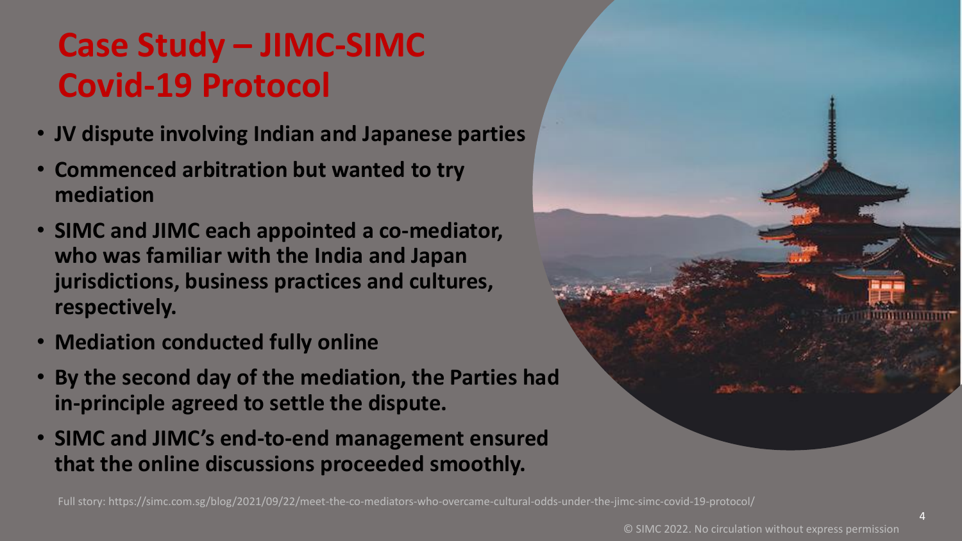### **Case Study – JIMC-SIMC Covid-19 Protocol**

- **JV dispute involving Indian and Japanese parties**
- **Commenced arbitration but wanted to try mediation**
- **SIMC and JIMC each appointed a co-mediator, who was familiar with the India and Japan jurisdictions, business practices and cultures, respectively.**
- **Mediation conducted fully online**
- **By the second day of the mediation, the Parties had in-principle agreed to settle the dispute.**
- **SIMC and JIMC's end-to-end management ensured that the online discussions proceeded smoothly.**

Full story: https://simc.com.sg/blog/2021/09/22/meet-the-co-mediators-who-overcame-cultural-odds-under-the-jimc-simc-covid-19-protocol/